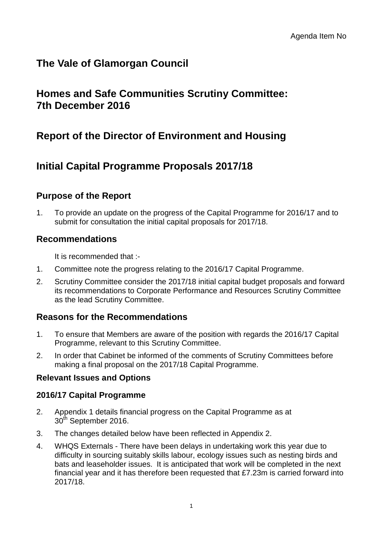# **The Vale of Glamorgan Council**

# **Homes and Safe Communities Scrutiny Committee: 7th December 2016**

# **Report of the Director of Environment and Housing**

# **Initial Capital Programme Proposals 2017/18**

# **Purpose of the Report**

1. To provide an update on the progress of the Capital Programme for 2016/17 and to submit for consultation the initial capital proposals for 2017/18.

# **Recommendations**

It is recommended that :-

- 1. Committee note the progress relating to the 2016/17 Capital Programme.
- 2. Scrutiny Committee consider the 2017/18 initial capital budget proposals and forward its recommendations to Corporate Performance and Resources Scrutiny Committee as the lead Scrutiny Committee.

# **Reasons for the Recommendations**

- 1. To ensure that Members are aware of the position with regards the 2016/17 Capital Programme, relevant to this Scrutiny Committee.
- 2. In order that Cabinet be informed of the comments of Scrutiny Committees before making a final proposal on the 2017/18 Capital Programme.

#### **Relevant Issues and Options**

#### **2016/17 Capital Programme**

- 2. Appendix 1 details financial progress on the Capital Programme as at 30<sup>th</sup> September 2016.
- 3. The changes detailed below have been reflected in Appendix 2.
- 4. WHQS Externals There have been delays in undertaking work this year due to difficulty in sourcing suitably skills labour, ecology issues such as nesting birds and bats and leaseholder issues. It is anticipated that work will be completed in the next financial year and it has therefore been requested that £7.23m is carried forward into 2017/18.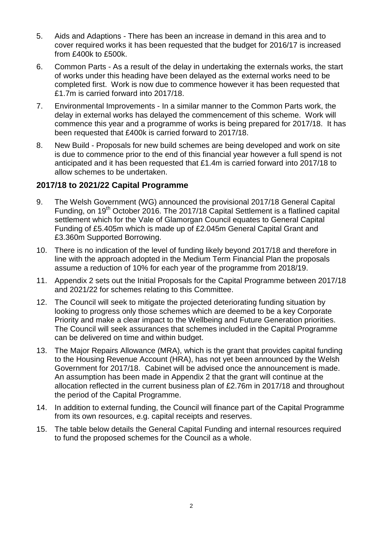- 5. Aids and Adaptions There has been an increase in demand in this area and to cover required works it has been requested that the budget for 2016/17 is increased from £400k to £500k.
- 6. Common Parts As a result of the delay in undertaking the externals works, the start of works under this heading have been delayed as the external works need to be completed first. Work is now due to commence however it has been requested that £1.7m is carried forward into 2017/18.
- 7. Environmental Improvements In a similar manner to the Common Parts work, the delay in external works has delayed the commencement of this scheme. Work will commence this year and a programme of works is being prepared for 2017/18. It has been requested that £400k is carried forward to 2017/18.
- 8. New Build Proposals for new build schemes are being developed and work on site is due to commence prior to the end of this financial year however a full spend is not anticipated and it has been requested that £1.4m is carried forward into 2017/18 to allow schemes to be undertaken.

### **2017/18 to 2021/22 Capital Programme**

- 9. The Welsh Government (WG) announced the provisional 2017/18 General Capital Funding, on 19<sup>th</sup> October 2016. The 2017/18 Capital Settlement is a flatlined capital settlement which for the Vale of Glamorgan Council equates to General Capital Funding of £5.405m which is made up of £2.045m General Capital Grant and £3.360m Supported Borrowing.
- 10. There is no indication of the level of funding likely beyond 2017/18 and therefore in line with the approach adopted in the Medium Term Financial Plan the proposals assume a reduction of 10% for each year of the programme from 2018/19.
- 11. Appendix 2 sets out the Initial Proposals for the Capital Programme between 2017/18 and 2021/22 for schemes relating to this Committee.
- 12. The Council will seek to mitigate the projected deteriorating funding situation by looking to progress only those schemes which are deemed to be a key Corporate Priority and make a clear impact to the Wellbeing and Future Generation priorities. The Council will seek assurances that schemes included in the Capital Programme can be delivered on time and within budget.
- 13. The Major Repairs Allowance (MRA), which is the grant that provides capital funding to the Housing Revenue Account (HRA), has not yet been announced by the Welsh Government for 2017/18. Cabinet will be advised once the announcement is made. An assumption has been made in Appendix 2 that the grant will continue at the allocation reflected in the current business plan of £2.76m in 2017/18 and throughout the period of the Capital Programme.
- 14. In addition to external funding, the Council will finance part of the Capital Programme from its own resources, e.g. capital receipts and reserves.
- 15. The table below details the General Capital Funding and internal resources required to fund the proposed schemes for the Council as a whole.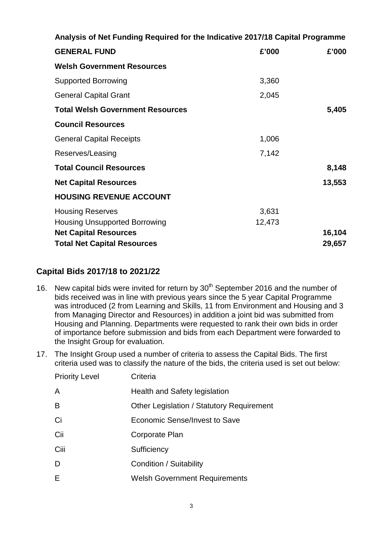| Analysis of Net Funding Required for the Indicative 2017/18 Capital Programme |        |        |  |  |  |  |  |
|-------------------------------------------------------------------------------|--------|--------|--|--|--|--|--|
| <b>GENERAL FUND</b>                                                           | £'000  | £'000  |  |  |  |  |  |
| <b>Welsh Government Resources</b>                                             |        |        |  |  |  |  |  |
| <b>Supported Borrowing</b>                                                    | 3,360  |        |  |  |  |  |  |
| <b>General Capital Grant</b>                                                  | 2,045  |        |  |  |  |  |  |
| <b>Total Welsh Government Resources</b>                                       |        | 5,405  |  |  |  |  |  |
| <b>Council Resources</b>                                                      |        |        |  |  |  |  |  |
| <b>General Capital Receipts</b>                                               | 1,006  |        |  |  |  |  |  |
| Reserves/Leasing                                                              | 7,142  |        |  |  |  |  |  |
| <b>Total Council Resources</b>                                                |        | 8,148  |  |  |  |  |  |
| <b>Net Capital Resources</b>                                                  |        | 13,553 |  |  |  |  |  |
| <b>HOUSING REVENUE ACCOUNT</b>                                                |        |        |  |  |  |  |  |
| <b>Housing Reserves</b>                                                       | 3,631  |        |  |  |  |  |  |
| <b>Housing Unsupported Borrowing</b>                                          | 12,473 |        |  |  |  |  |  |
| <b>Net Capital Resources</b>                                                  |        | 16,104 |  |  |  |  |  |
| <b>Total Net Capital Resources</b>                                            |        |        |  |  |  |  |  |

#### **Capital Bids 2017/18 to 2021/22**

- 16. New capital bids were invited for return by  $30<sup>th</sup>$  September 2016 and the number of bids received was in line with previous years since the 5 year Capital Programme was introduced (2 from Learning and Skills, 11 from Environment and Housing and 3 from Managing Director and Resources) in addition a joint bid was submitted from Housing and Planning. Departments were requested to rank their own bids in order of importance before submission and bids from each Department were forwarded to the Insight Group for evaluation.
- 17. The Insight Group used a number of criteria to assess the Capital Bids. The first criteria used was to classify the nature of the bids, the criteria used is set out below:

| <b>Priority Level</b> | Criteria                                  |
|-----------------------|-------------------------------------------|
| A                     | Health and Safety legislation             |
| B                     | Other Legislation / Statutory Requirement |
| Ci                    | Economic Sense/Invest to Save             |
| Cii                   | Corporate Plan                            |
| Ciii                  | Sufficiency                               |
| D                     | Condition / Suitability                   |
| Е                     | <b>Welsh Government Requirements</b>      |
|                       |                                           |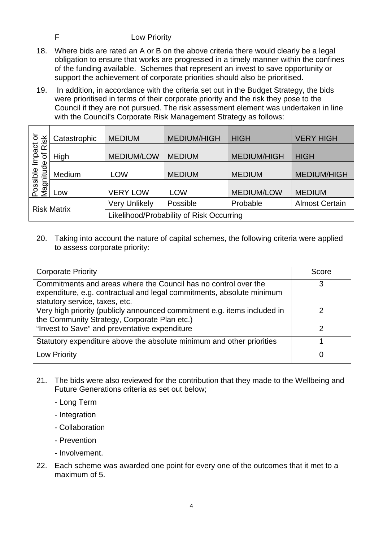#### F Low Priority

- 18. Where bids are rated an A or B on the above criteria there would clearly be a legal obligation to ensure that works are progressed in a timely manner within the confines of the funding available. Schemes that represent an invest to save opportunity or support the achievement of corporate priorities should also be prioritised.
- 19. In addition, in accordance with the criteria set out in the Budget Strategy, the bids were prioritised in terms of their corporate priority and the risk they pose to the Council if they are not pursued. The risk assessment element was undertaken in line with the Council's Corporate Risk Management Strategy as follows:

| ŏ                                              | Catastrophic | <b>MEDIUM</b>                            | <b>MEDIUM/HIGH</b> | <b>HIGH</b>        | <b>VERY HIGH</b>      |  |  |  |
|------------------------------------------------|--------------|------------------------------------------|--------------------|--------------------|-----------------------|--|--|--|
| <b>Possible Impact on</b><br>Mannitude of Risk | High         | <b>MEDIUM/LOW</b><br><b>MEDIUM</b>       |                    | <b>MEDIUM/HIGH</b> | <b>HIGH</b>           |  |  |  |
| Magnitude                                      | Medium       | <b>LOW</b>                               | <b>MEDIUM</b>      | <b>MEDIUM</b>      | <b>MEDIUM/HIGH</b>    |  |  |  |
|                                                | Low          | <b>VERY LOW</b>                          | LOW                | <b>MEDIUM/LOW</b>  | <b>MEDIUM</b>         |  |  |  |
| <b>Risk Matrix</b>                             |              | <b>Very Unlikely</b>                     | Possible           | Probable           | <b>Almost Certain</b> |  |  |  |
|                                                |              | Likelihood/Probability of Risk Occurring |                    |                    |                       |  |  |  |

20. Taking into account the nature of capital schemes, the following criteria were applied to assess corporate priority:

| <b>Corporate Priority</b>                                                                                                                                                  | Score |
|----------------------------------------------------------------------------------------------------------------------------------------------------------------------------|-------|
| Commitments and areas where the Council has no control over the<br>expenditure, e.g. contractual and legal commitments, absolute minimum<br>statutory service, taxes, etc. | 3     |
| Very high priority (publicly announced commitment e.g. items included in<br>the Community Strategy, Corporate Plan etc.)                                                   | っ     |
| "Invest to Save" and preventative expenditure                                                                                                                              | っ     |
| Statutory expenditure above the absolute minimum and other priorities                                                                                                      |       |
| Low Priority                                                                                                                                                               |       |

- 21. The bids were also reviewed for the contribution that they made to the Wellbeing and Future Generations criteria as set out below;
	- Long Term
	- Integration
	- Collaboration
	- Prevention
	- Involvement.
- 22. Each scheme was awarded one point for every one of the outcomes that it met to a maximum of 5.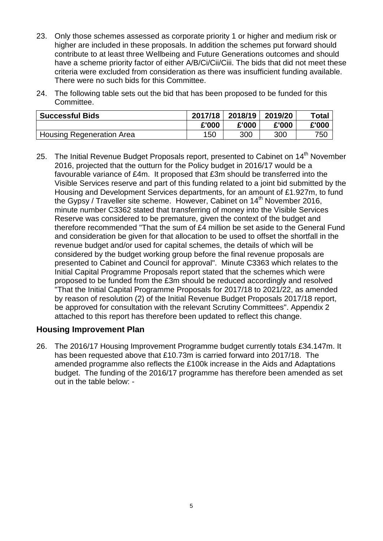- 23. Only those schemes assessed as corporate priority 1 or higher and medium risk or higher are included in these proposals. In addition the schemes put forward should contribute to at least three Wellbeing and Future Generations outcomes and should have a scheme priority factor of either A/B/Ci/Cii/Ciii. The bids that did not meet these criteria were excluded from consideration as there was insufficient funding available. There were no such bids for this Committee.
- 24. The following table sets out the bid that has been proposed to be funded for this Committee.

| <b>Successful Bids</b>    | 2017/18 | 2018/19 | 2019/20 | Total |
|---------------------------|---------|---------|---------|-------|
|                           | £'000   | £'000   | £'000   | £'000 |
| Housing Regeneration Area | 150     | 300     | 300     | 750   |

25. The Initial Revenue Budget Proposals report, presented to Cabinet on 14<sup>th</sup> November 2016, projected that the outturn for the Policy budget in 2016/17 would be a favourable variance of £4m. It proposed that £3m should be transferred into the Visible Services reserve and part of this funding related to a joint bid submitted by the Housing and Development Services departments, for an amount of £1.927m, to fund the Gypsy / Traveller site scheme. However, Cabinet on 14<sup>th</sup> November 2016. minute number C3362 stated that transferring of money into the Visible Services Reserve was considered to be premature, given the context of the budget and therefore recommended "That the sum of £4 million be set aside to the General Fund and consideration be given for that allocation to be used to offset the shortfall in the revenue budget and/or used for capital schemes, the details of which will be considered by the budget working group before the final revenue proposals are presented to Cabinet and Council for approval". Minute C3363 which relates to the Initial Capital Programme Proposals report stated that the schemes which were proposed to be funded from the £3m should be reduced accordingly and resolved "That the Initial Capital Programme Proposals for 2017/18 to 2021/22, as amended by reason of resolution (2) of the Initial Revenue Budget Proposals 2017/18 report, be approved for consultation with the relevant Scrutiny Committees". Appendix 2 attached to this report has therefore been updated to reflect this change.

#### **Housing Improvement Plan**

26. The 2016/17 Housing Improvement Programme budget currently totals £34.147m. It has been requested above that £10.73m is carried forward into 2017/18. The amended programme also reflects the £100k increase in the Aids and Adaptations budget. The funding of the 2016/17 programme has therefore been amended as set out in the table below: -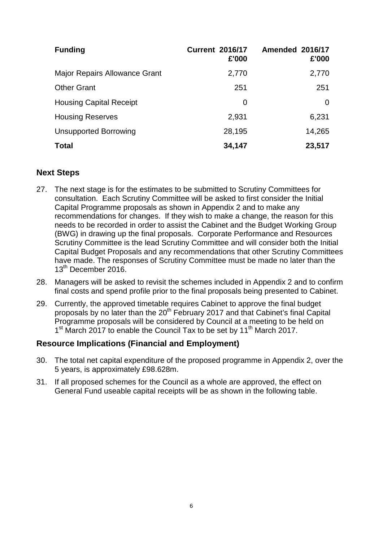| <b>Funding</b>                 | <b>Current 2016/17</b><br>£'000 | <b>Amended 2016/17</b><br>£'000 |
|--------------------------------|---------------------------------|---------------------------------|
| Major Repairs Allowance Grant  | 2,770                           | 2,770                           |
| <b>Other Grant</b>             | 251                             | 251                             |
| <b>Housing Capital Receipt</b> | 0                               | 0                               |
| <b>Housing Reserves</b>        | 2,931                           | 6,231                           |
| <b>Unsupported Borrowing</b>   | 28,195                          | 14,265                          |
| <b>Total</b>                   | 34,147                          | 23,517                          |

#### **Next Steps**

- 27. The next stage is for the estimates to be submitted to Scrutiny Committees for consultation. Each Scrutiny Committee will be asked to first consider the Initial Capital Programme proposals as shown in Appendix 2 and to make any recommendations for changes. If they wish to make a change, the reason for this needs to be recorded in order to assist the Cabinet and the Budget Working Group (BWG) in drawing up the final proposals. Corporate Performance and Resources Scrutiny Committee is the lead Scrutiny Committee and will consider both the Initial Capital Budget Proposals and any recommendations that other Scrutiny Committees have made. The responses of Scrutiny Committee must be made no later than the 13<sup>th</sup> December 2016.
- 28. Managers will be asked to revisit the schemes included in Appendix 2 and to confirm final costs and spend profile prior to the final proposals being presented to Cabinet.
- 29. Currently, the approved timetable requires Cabinet to approve the final budget proposals by no later than the 20<sup>th</sup> February 2017 and that Cabinet's final Capital Programme proposals will be considered by Council at a meeting to be held on 1<sup>st</sup> March 2017 to enable the Council Tax to be set by 11<sup>th</sup> March 2017.

# **Resource Implications (Financial and Employment)**

- 30. The total net capital expenditure of the proposed programme in Appendix 2, over the 5 years, is approximately £98.628m.
- 31. If all proposed schemes for the Council as a whole are approved, the effect on General Fund useable capital receipts will be as shown in the following table.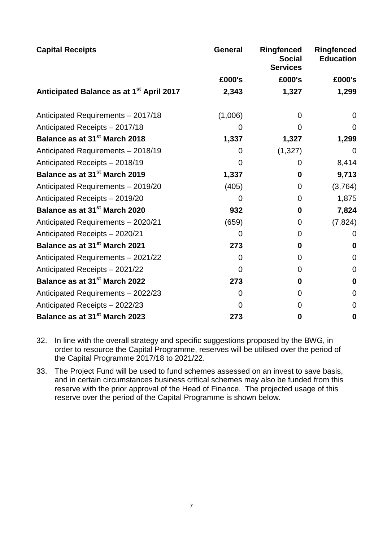| <b>Capital Receipts</b>                              | General        | <b>Ringfenced</b><br><b>Social</b><br><b>Services</b> | <b>Ringfenced</b><br><b>Education</b> |  |
|------------------------------------------------------|----------------|-------------------------------------------------------|---------------------------------------|--|
|                                                      | £000's         | £000's                                                | £000's                                |  |
| Anticipated Balance as at 1 <sup>st</sup> April 2017 | 2,343          | 1,327                                                 | 1,299                                 |  |
| Anticipated Requirements - 2017/18                   | (1,006)        | $\overline{0}$                                        | $\overline{0}$                        |  |
| Anticipated Receipts - 2017/18                       | $\overline{0}$ | 0                                                     | $\Omega$                              |  |
| Balance as at 31 <sup>st</sup> March 2018            | 1,337          | 1,327                                                 | 1,299                                 |  |
| Anticipated Requirements - 2018/19                   | $\overline{0}$ | (1, 327)                                              | $\overline{0}$                        |  |
| Anticipated Receipts - 2018/19                       | $\Omega$       | 0                                                     | 8,414                                 |  |
| Balance as at 31 <sup>st</sup> March 2019            | 1,337          | $\bf{0}$                                              | 9,713                                 |  |
| Anticipated Requirements - 2019/20                   | (405)          | 0                                                     | (3,764)                               |  |
| Anticipated Receipts - 2019/20                       | $\Omega$       | 0                                                     | 1,875                                 |  |
| Balance as at 31 <sup>st</sup> March 2020            | 932            | $\mathbf 0$                                           | 7,824                                 |  |
| Anticipated Requirements - 2020/21                   | (659)          | 0                                                     | (7, 824)                              |  |
| Anticipated Receipts - 2020/21                       | $\Omega$       | $\overline{0}$                                        | $\Omega$                              |  |
| Balance as at 31 <sup>st</sup> March 2021            | 273            | 0                                                     | $\bf{0}$                              |  |
| Anticipated Requirements - 2021/22                   | 0              | 0                                                     | $\overline{0}$                        |  |
| Anticipated Receipts - 2021/22                       | $\overline{0}$ | $\overline{0}$                                        | $\mathbf 0$                           |  |
| Balance as at 31 <sup>st</sup> March 2022            | 273            | 0                                                     | $\boldsymbol{0}$                      |  |
| Anticipated Requirements - 2022/23                   | $\Omega$       | 0                                                     | $\mathbf 0$                           |  |
| Anticipated Receipts - 2022/23                       | $\Omega$       | $\Omega$                                              | $\overline{0}$                        |  |
| Balance as at 31 <sup>st</sup> March 2023            | 273            | 0                                                     | $\bf{0}$                              |  |

32. In line with the overall strategy and specific suggestions proposed by the BWG, in order to resource the Capital Programme, reserves will be utilised over the period of the Capital Programme 2017/18 to 2021/22.

33. The Project Fund will be used to fund schemes assessed on an invest to save basis, and in certain circumstances business critical schemes may also be funded from this reserve with the prior approval of the Head of Finance. The projected usage of this reserve over the period of the Capital Programme is shown below.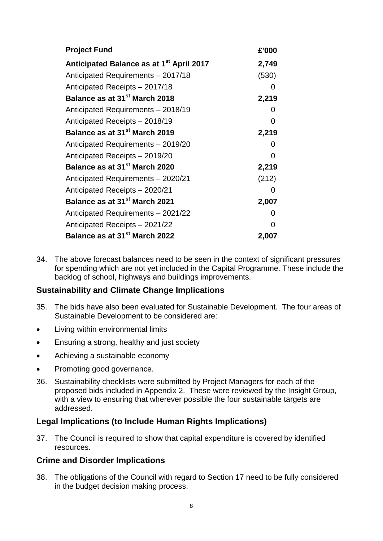| <b>Project Fund</b>                                  | £'000             |
|------------------------------------------------------|-------------------|
| Anticipated Balance as at 1 <sup>st</sup> April 2017 | 2,749             |
| Anticipated Requirements - 2017/18                   | (530)             |
| Anticipated Receipts - 2017/18                       | $\Omega$          |
| Balance as at 31 <sup>st</sup> March 2018            | 2,219             |
| Anticipated Requirements - 2018/19                   | 0                 |
| Anticipated Receipts - 2018/19                       | 0                 |
| Balance as at 31 <sup>st</sup> March 2019            | 2,219             |
| Anticipated Requirements - 2019/20                   | $\mathbf{\Omega}$ |
| Anticipated Receipts - 2019/20                       | 0                 |
| Balance as at 31 <sup>st</sup> March 2020            | 2,219             |
| Anticipated Requirements - 2020/21                   | (212)             |
| Anticipated Receipts - 2020/21                       | 0                 |
| Balance as at 31 <sup>st</sup> March 2021            | 2,007             |
| Anticipated Requirements - 2021/22                   | $\mathbf{\Omega}$ |
| Anticipated Receipts - 2021/22                       | O                 |
| Balance as at 31 <sup>st</sup> March 2022            | 2,007             |

34. The above forecast balances need to be seen in the context of significant pressures for spending which are not yet included in the Capital Programme. These include the backlog of school, highways and buildings improvements.

#### **Sustainability and Climate Change Implications**

- 35. The bids have also been evaluated for Sustainable Development. The four areas of Sustainable Development to be considered are:
- Living within environmental limits
- Ensuring a strong, healthy and just society
- Achieving a sustainable economy
- Promoting good governance.
- 36. Sustainability checklists were submitted by Project Managers for each of the proposed bids included in Appendix 2. These were reviewed by the Insight Group, with a view to ensuring that wherever possible the four sustainable targets are addressed.

#### **Legal Implications (to Include Human Rights Implications)**

37. The Council is required to show that capital expenditure is covered by identified resources.

#### **Crime and Disorder Implications**

38. The obligations of the Council with regard to Section 17 need to be fully considered in the budget decision making process.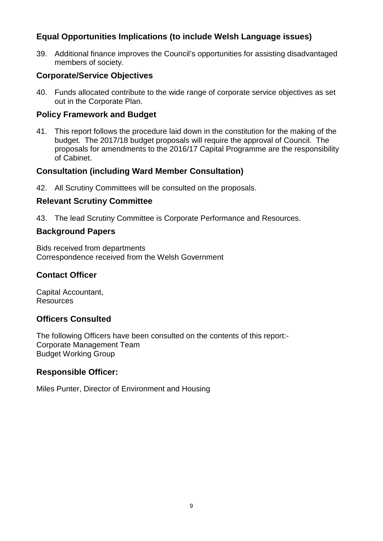# **Equal Opportunities Implications (to include Welsh Language issues)**

39. Additional finance improves the Council's opportunities for assisting disadvantaged members of society.

## **Corporate/Service Objectives**

40. Funds allocated contribute to the wide range of corporate service objectives as set out in the Corporate Plan.

#### **Policy Framework and Budget**

41. This report follows the procedure laid down in the constitution for the making of the budget. The 2017/18 budget proposals will require the approval of Council. The proposals for amendments to the 2016/17 Capital Programme are the responsibility of Cabinet.

### **Consultation (including Ward Member Consultation)**

42. All Scrutiny Committees will be consulted on the proposals.

#### **Relevant Scrutiny Committee**

43. The lead Scrutiny Committee is Corporate Performance and Resources.

#### **Background Papers**

Bids received from departments Correspondence received from the Welsh Government

# **Contact Officer**

Capital Accountant, Resources

# **Officers Consulted**

The following Officers have been consulted on the contents of this report:- Corporate Management Team Budget Working Group

# **Responsible Officer:**

Miles Punter, Director of Environment and Housing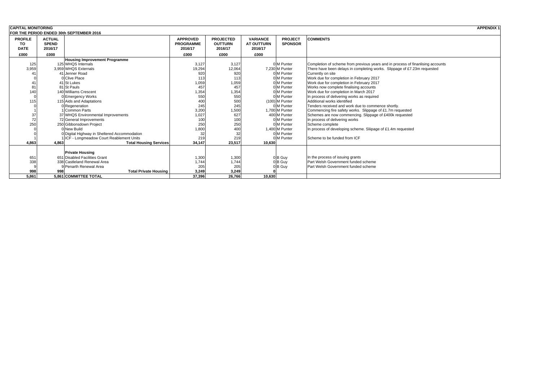| <b>CAPITAL MONITORING</b> |               |                                              |                  |                  |                   |                | APPENDIX *                                                                      |
|---------------------------|---------------|----------------------------------------------|------------------|------------------|-------------------|----------------|---------------------------------------------------------------------------------|
|                           |               | FOR THE PERIOD ENDED 30th SEPTEMBER 2016     |                  |                  |                   |                |                                                                                 |
| <b>PROFILE</b>            | <b>ACTUAL</b> |                                              | <b>APPROVED</b>  | <b>PROJECTED</b> | <b>VARIANCE</b>   | <b>PROJECT</b> | <b>COMMENTS</b>                                                                 |
| TO                        | <b>SPEND</b>  |                                              | <b>PROGRAMME</b> | <b>OUTTURN</b>   | <b>AT OUTTURN</b> | <b>SPONSOR</b> |                                                                                 |
| <b>DATE</b>               | 2016/17       |                                              | 2016/17          | 2016/17          | 2016/17           |                |                                                                                 |
| £000                      | £000          |                                              | £000             | £000             | £000              |                |                                                                                 |
|                           |               | <b>Housing Improvement Programme</b>         |                  |                  |                   |                |                                                                                 |
| 125                       |               | 125 WHQS Internals                           | 3,127            | 3,127            |                   | 0 M Punter     | Completion of scheme from previous years and in process of finanlising accounts |
| 3,959                     |               | 3.959 WHQS Externals                         | 19,294           | 12,064           |                   | 7.230 M Punter | There have been delays in completing works. Slippage of £7.23m requested        |
|                           |               | 41 Jenner Road                               | 920              | 920              |                   | IM Punter      | Currently on site                                                               |
|                           |               | 0 Clive Place                                | 113              | 113              |                   | 0 M Punter     | Work due for completion in February 2017                                        |
|                           |               | 41 St Lukes                                  | 1,059            | 1,059            |                   | 0 M Punter     | Work due for completion in February 2017                                        |
|                           |               | 81 St Pauls                                  | 457              | 457              |                   | 0 M Punter     | Works now complete finalising accounts                                          |
| 140                       |               | 140 Williams Crescent                        | 1,354            | 1,354            |                   | 0 M Punter     | Work due for completion in March 2017                                           |
|                           |               | 0 Emergency Works                            | 550              | 550              |                   | 0 M Punter     | In process of delivering works as required                                      |
| 115                       |               | 115 Aids and Adaptations                     | 400              | 500              |                   | (100) M Punter | Additional works identified                                                     |
|                           |               | ORegeneration                                | 245              | 245              |                   | M Punter       | Tenders received and work due to commence shortly.                              |
|                           |               | Common Parts                                 | 3,200            | 1,500            |                   | 1.700 M Punter | Commencing fire safety works. Slippage of £1.7m requested                       |
| 37                        |               | 37 WHQS Environmental Improvements           | 1,027            | 627              |                   | 400 M Punter   | Schemes are now commencing. Slippage of £400k requested                         |
| 72                        |               | 72 General Improvements                      | 100              | 100              |                   | 0 M Punter     | In process of delivering works                                                  |
| 250                       |               | 250 Gibbonsdown Project                      | 250              | 250              |                   | 0 M Punter     | Scheme complete                                                                 |
|                           |               | New Build                                    | 1,800            | 400              |                   | 1.400 M Punter | In process of developing scheme. Sliipage of £1.4m requested                    |
|                           |               | 0 Digital Highway in Sheltered Accommodation | 32               | 32               |                   | 0 M Punter     |                                                                                 |
|                           |               | ICF - Longmeadow Court Reablement Units      | 219              | 219              |                   | 0 M Punter     | Scheme to be funded from ICF                                                    |
| 4.863                     | 4.863         | <b>Total Housing Services</b>                | 34,147           | 23,517           | 10.630            |                |                                                                                 |
|                           |               |                                              |                  |                  |                   |                |                                                                                 |
|                           |               | <b>Private Housing</b>                       |                  |                  |                   |                |                                                                                 |
| 65'                       |               | 651 Disabled Facilities Grant                | 1,300            | 1,300            |                   | 0B Guy         | In the process of issuing grants                                                |
| 338                       |               | 338 Castleland Renewal Area                  | 1,744            | 1,744            |                   | 0B Guy         | Part Welsh Government funded scheme                                             |
|                           |               | 9 Penarth Renewal Area                       | 205              | 205              |                   | B Guy          | Part Welsh Government funded scheme                                             |
| 998                       | 998           | <b>Total Private Housing</b>                 | 3,249            | 3.249            |                   |                |                                                                                 |
| 5.861                     |               | 5.861 COMMITTEE TOTAL                        | 37,396           | 26.766           | 10.630            |                |                                                                                 |